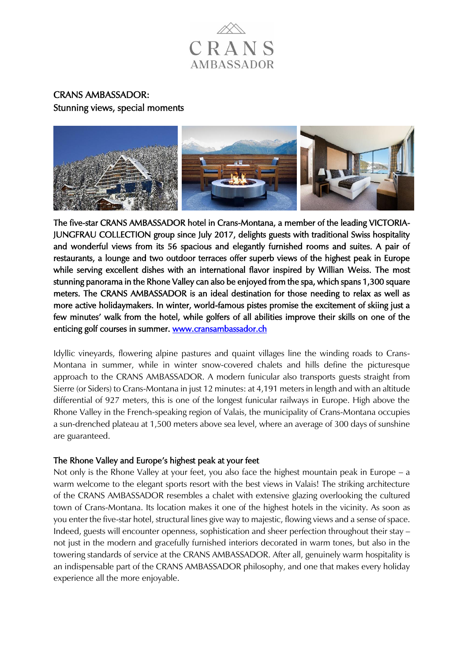

# CRANS AMBASSADOR: Stunning views, special moments



The five-star CRANS AMBASSADOR hotel in Crans-Montana, a member of the leading VICTORIA-JUNGFRAU COLLECTION group since July 2017, delights guests with traditional Swiss hospitality and wonderful views from its 56 spacious and elegantly furnished rooms and suites. A pair of restaurants, a lounge and two outdoor terraces offer superb views of the highest peak in Europe while serving excellent dishes with an international flavor inspired by Willian Weiss. The most stunning panorama in the Rhone Valley can also be enjoyed from the spa, which spans 1,300 square meters. The CRANS AMBASSADOR is an ideal destination for those needing to relax as well as more active holidaymakers. In winter, world-famous pistes promise the excitement of skiing just a few minutes' walk from the hotel, while golfers of all abilities improve their skills on one of the enticing golf courses in summer. [www.cransambassador.ch](https://www.cransambassador.ch/en) 

Idyllic vineyards, flowering alpine pastures and quaint villages line the winding roads to Crans-Montana in summer, while in winter snow-covered chalets and hills define the picturesque approach to the CRANS AMBASSADOR. A modern funicular also transports guests straight from Sierre (or Siders) to Crans-Montana in just 12 minutes: at 4,191 meters in length and with an altitude differential of 927 meters, this is one of the longest funicular railways in Europe. High above the Rhone Valley in the French-speaking region of Valais, the municipality of Crans-Montana occupies a sun-drenched plateau at 1,500 meters above sea level, where an average of 300 days of sunshine are guaranteed.

## The Rhone Valley and Europe's highest peak at your feet

Not only is the Rhone Valley at your feet, you also face the highest mountain peak in Europe – a warm welcome to the elegant sports resort with the best views in Valais! The striking architecture of the CRANS AMBASSADOR resembles a chalet with extensive glazing overlooking the cultured town of Crans-Montana. Its location makes it one of the highest hotels in the vicinity. As soon as you enter the five-star hotel, structural lines give way to majestic, flowing views and a sense of space. Indeed, guests will encounter openness, sophistication and sheer perfection throughout their stay – not just in the modern and gracefully furnished interiors decorated in warm tones, but also in the towering standards of service at the CRANS AMBASSADOR. After all, genuinely warm hospitality is an indispensable part of the CRANS AMBASSADOR philosophy, and one that makes every holiday experience all the more enjoyable.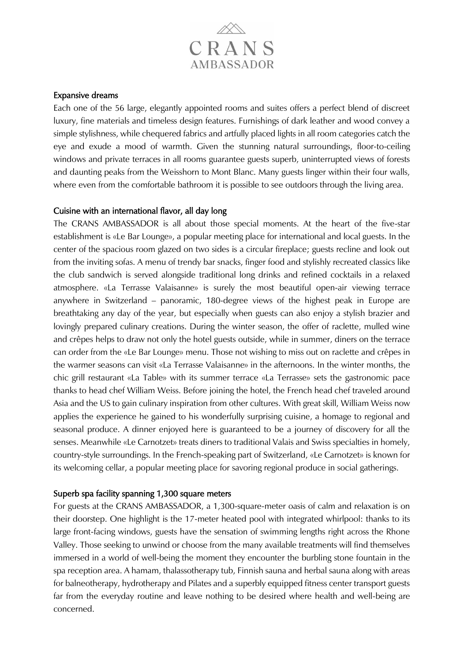

#### Expansive dreams

Each one of the 56 large, elegantly appointed rooms and suites offers a perfect blend of discreet luxury, fine materials and timeless design features. Furnishings of dark leather and wood convey a simple stylishness, while chequered fabrics and artfully placed lights in all room categories catch the eye and exude a mood of warmth. Given the stunning natural surroundings, floor-to-ceiling windows and private terraces in all rooms guarantee guests superb, uninterrupted views of forests and daunting peaks from the Weisshorn to Mont Blanc. Many guests linger within their four walls, where even from the comfortable bathroom it is possible to see outdoors through the living area.

#### Cuisine with an international flavor, all day long

The CRANS AMBASSADOR is all about those special moments. At the heart of the five-star establishment is «Le Bar Lounge», a popular meeting place for international and local guests. In the center of the spacious room glazed on two sides is a circular fireplace; guests recline and look out from the inviting sofas. A menu of trendy bar snacks, finger food and stylishly recreated classics like the club sandwich is served alongside traditional long drinks and refined cocktails in a relaxed atmosphere. «La Terrasse Valaisanne» is surely the most beautiful open-air viewing terrace anywhere in Switzerland – panoramic, 180-degree views of the highest peak in Europe are breathtaking any day of the year, but especially when guests can also enjoy a stylish brazier and lovingly prepared culinary creations. During the winter season, the offer of raclette, mulled wine and crêpes helps to draw not only the hotel guests outside, while in summer, diners on the terrace can order from the «Le Bar Lounge» menu. Those not wishing to miss out on raclette and crêpes in the warmer seasons can visit «La Terrasse Valaisanne» in the afternoons. In the winter months, the chic grill restaurant «La Table» with its summer terrace «La Terrasse» sets the gastronomic pace thanks to head chef William Weiss. Before joining the hotel, the French head chef traveled around Asia and the US to gain culinary inspiration from other cultures. With great skill, William Weiss now applies the experience he gained to his wonderfully surprising cuisine, a homage to regional and seasonal produce. A dinner enjoyed here is guaranteed to be a journey of discovery for all the senses. Meanwhile «Le Carnotzet» treats diners to traditional Valais and Swiss specialties in homely, country-style surroundings. In the French-speaking part of Switzerland, «Le Carnotzet» is known for its welcoming cellar, a popular meeting place for savoring regional produce in social gatherings.

### Superb spa facility spanning 1,300 square meters

For guests at the CRANS AMBASSADOR, a 1,300-square-meter oasis of calm and relaxation is on their doorstep. One highlight is the 17-meter heated pool with integrated whirlpool: thanks to its large front-facing windows, guests have the sensation of swimming lengths right across the Rhone Valley. Those seeking to unwind or choose from the many available treatments will find themselves immersed in a world of well-being the moment they encounter the burbling stone fountain in the spa reception area. A hamam, thalassotherapy tub, Finnish sauna and herbal sauna along with areas for balneotherapy, hydrotherapy and Pilates and a superbly equipped fitness center transport guests far from the everyday routine and leave nothing to be desired where health and well-being are concerned.